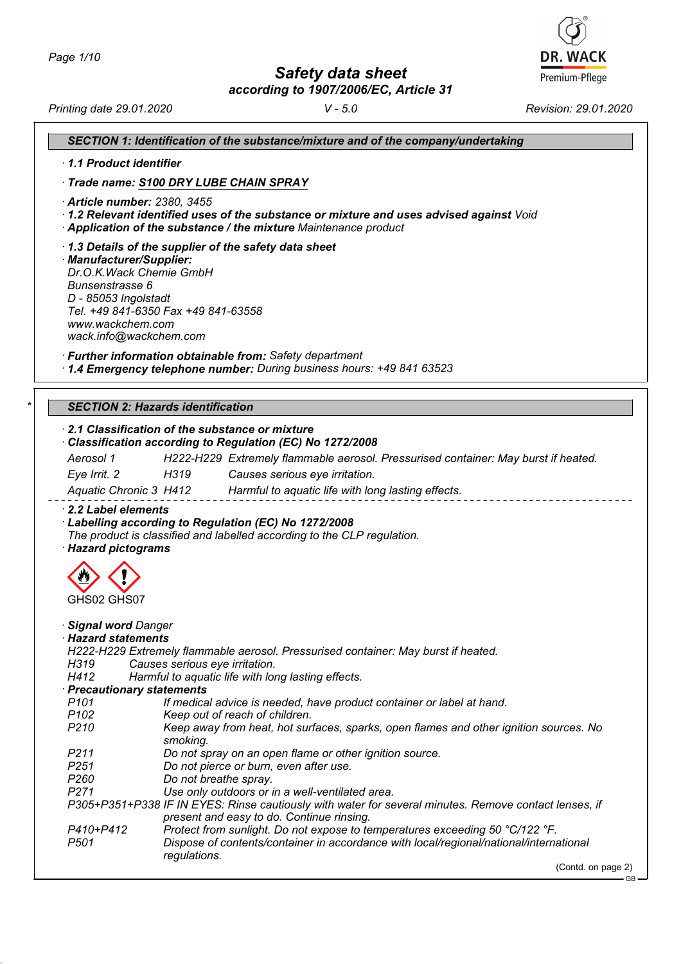*Safety data sheet*

**DR. WACK** Premium-Pflege

|                                                                                                          |                                                                                           | according to 1907/2006/EC, Article 31                                                                                                                                                                                                               |           |                                                                                       |
|----------------------------------------------------------------------------------------------------------|-------------------------------------------------------------------------------------------|-----------------------------------------------------------------------------------------------------------------------------------------------------------------------------------------------------------------------------------------------------|-----------|---------------------------------------------------------------------------------------|
| Printing date 29.01.2020                                                                                 |                                                                                           |                                                                                                                                                                                                                                                     | $V - 5.0$ | Revision: 29.01.2020                                                                  |
|                                                                                                          |                                                                                           | SECTION 1: Identification of the substance/mixture and of the company/undertaking                                                                                                                                                                   |           |                                                                                       |
| 1.1 Product identifier                                                                                   |                                                                                           |                                                                                                                                                                                                                                                     |           |                                                                                       |
|                                                                                                          | Trade name: S100 DRY LUBE CHAIN SPRAY                                                     |                                                                                                                                                                                                                                                     |           |                                                                                       |
|                                                                                                          | · Article number: 2380, 3455                                                              | 1.2 Relevant identified uses of the substance or mixture and uses advised against Void<br>Application of the substance / the mixture Maintenance product                                                                                            |           |                                                                                       |
| · Manufacturer/Supplier:<br>Bunsenstrasse 6<br>D - 85053 Ingolstadt<br>www.wackchem.com                  | Dr.O.K. Wack Chemie GmbH<br>Tel. +49 841-6350 Fax +49 841-63558<br>wack.info@wackchem.com | 1.3 Details of the supplier of the safety data sheet<br>· Further information obtainable from: Safety department                                                                                                                                    |           |                                                                                       |
|                                                                                                          |                                                                                           | 1.4 Emergency telephone number: During business hours: +49 841 63523                                                                                                                                                                                |           |                                                                                       |
|                                                                                                          | <b>SECTION 2: Hazards identification</b>                                                  |                                                                                                                                                                                                                                                     |           |                                                                                       |
| Aerosol 1                                                                                                |                                                                                           | 2.1 Classification of the substance or mixture<br>Classification according to Regulation (EC) No 1272/2008                                                                                                                                          |           | H222-H229 Extremely flammable aerosol. Pressurised container: May burst if heated.    |
| Eye Irrit. 2                                                                                             | H319 <b>March 19</b>                                                                      | Causes serious eye irritation.                                                                                                                                                                                                                      |           |                                                                                       |
|                                                                                                          |                                                                                           | Aquatic Chronic 3 H412 Harmful to aquatic life with long lasting effects.                                                                                                                                                                           |           |                                                                                       |
| 2.2 Label elements<br>· Hazard pictograms<br>GHSUZ GHSU7                                                 |                                                                                           | Labelling according to Regulation (EC) No 1272/2008<br>The product is classified and labelled according to the CLP regulation.                                                                                                                      |           |                                                                                       |
| · Signal word Danger<br><b>Hazard statements</b><br>H319<br>H412<br>P <sub>101</sub><br>P <sub>102</sub> | Causes serious eye irritation.<br>· Precautionary statements                              | H222-H229 Extremely flammable aerosol. Pressurised container: May burst if heated.<br>Harmful to aquatic life with long lasting effects.<br>If medical advice is needed, have product container or label at hand.<br>Keep out of reach of children. |           |                                                                                       |
| P <sub>210</sub><br>P211<br>P <sub>251</sub>                                                             | smoking.                                                                                  | Do not spray on an open flame or other ignition source.<br>Do not pierce or burn, even after use.                                                                                                                                                   |           | Keep away from heat, hot surfaces, sparks, open flames and other ignition sources. No |

- *P260 Do not breathe spray.*
- Use only outdoors or in a well-ventilated area.

*P305+P351+P338 IF IN EYES: Rinse cautiously with water for several minutes. Remove contact lenses, if present and easy to do. Continue rinsing.*

| P410+P412 | Protect from sunlight. Do not expose to temperatures exceeding 50 °C/122 °F.           |
|-----------|----------------------------------------------------------------------------------------|
| P501      | Dispose of contents/container in accordance with local/regional/national/international |
|           | regulations.                                                                           |
|           | (Contd. on page 2)                                                                     |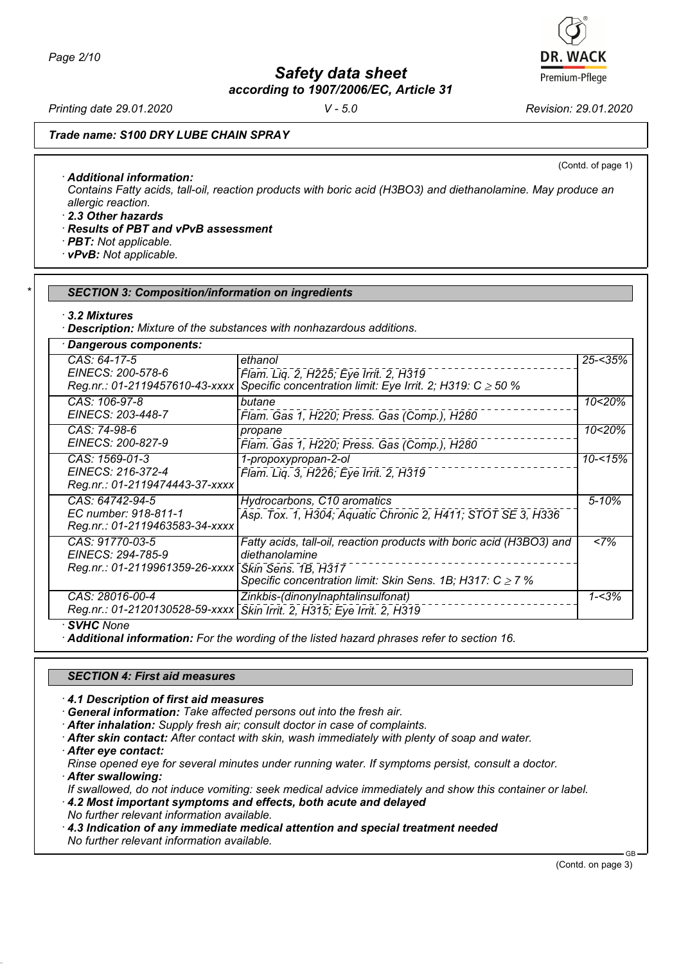*Page 2/10*

*Safety data sheet*

*according to 1907/2006/EC, Article 31*

*Printing date 29.01.2020 V - 5.0 Revision: 29.01.2020*

(Contd. of page 1)

*Trade name: S100 DRY LUBE CHAIN SPRAY*

*· Additional information:*

*Contains Fatty acids, tall-oil, reaction products with boric acid (H3BO3) and diethanolamine. May produce an allergic reaction.*

*· 2.3 Other hazards*

- *· Results of PBT and vPvB assessment*
- *· PBT: Not applicable.*
- *· vPvB: Not applicable.*

#### *\* SECTION 3: Composition/information on ingredients*

*· 3.2 Mixtures*

*· Description: Mixture of the substances with nonhazardous additions.*

| CAS: 64-17-5                                                              | ethanol                                                                                                                                                                         | $25 - 35%$ |
|---------------------------------------------------------------------------|---------------------------------------------------------------------------------------------------------------------------------------------------------------------------------|------------|
| EINECS: 200-578-6<br>Reg.nr.: 01-2119457610-43-xxxx                       | Flam. Liq. 2, H225; Eye Irrit. 2, H319<br>Specific concentration limit: Eye Irrit. 2; H319: C $\geq$ 50 %                                                                       |            |
| CAS: 106-97-8<br>EINECS: 203-448-7                                        | butane<br>Flam. Gas 1, H220; Press. Gas (Comp.), H280                                                                                                                           | 10<20%     |
| CAS: 74-98-6<br>EINECS: 200-827-9                                         | propane<br>Flam. Gas 1, H220; Press. Gas (Comp.), H280                                                                                                                          | 10<20%     |
| CAS: 1569-01-3<br>EINECS: 216-372-4<br>Reg.nr.: 01-2119474443-37-xxxx     | 1-propoxypropan-2-ol<br>Flam. Liq. 3, H226; Eye Irrit. 2, H319                                                                                                                  | $10 - 15%$ |
| CAS: 64742-94-5<br>EC number: 918-811-1<br>Reg.nr.: 01-2119463583-34-xxxx | Hydrocarbons, C10 aromatics<br>Asp. Tox. 1, H304; Aquatic Chronic 2, H411; STOT SE 3, H336                                                                                      | $5 - 10%$  |
| CAS: 91770-03-5<br>EINECS: 294-785-9<br>Reg.nr.: 01-2119961359-26-xxxx    | Fatty acids, tall-oil, reaction products with boric acid (H3BO3) and<br>diethanolamine<br>Skin Sens. 1B, H317<br>Specific concentration limit: Skin Sens. 1B; H317: $C \ge 7$ % | <7%        |
| CAS: 28016-00-4<br>Reg.nr.: 01-2120130528-59-xxxx                         | Zinkbis-(dinonylnaphtalinsulfonat)<br>Skin Irrit. 2, H315; Eye Irrit. 2, H319                                                                                                   | $1 - 3%$   |

*· SVHC None*

*· Additional information: For the wording of the listed hazard phrases refer to section 16.*

## *SECTION 4: First aid measures*

*· 4.1 Description of first aid measures*

*· General information: Take affected persons out into the fresh air.*

- *· After inhalation: Supply fresh air; consult doctor in case of complaints.*
- *· After skin contact: After contact with skin, wash immediately with plenty of soap and water.*

*· After eye contact:*

*Rinse opened eye for several minutes under running water. If symptoms persist, consult a doctor.*

*· After swallowing:*

*If swallowed, do not induce vomiting: seek medical advice immediately and show this container or label. · 4.2 Most important symptoms and effects, both acute and delayed*

*No further relevant information available.*

*· 4.3 Indication of any immediate medical attention and special treatment needed No further relevant information available.*

(Contd. on page 3)

GB



**DR. WACK**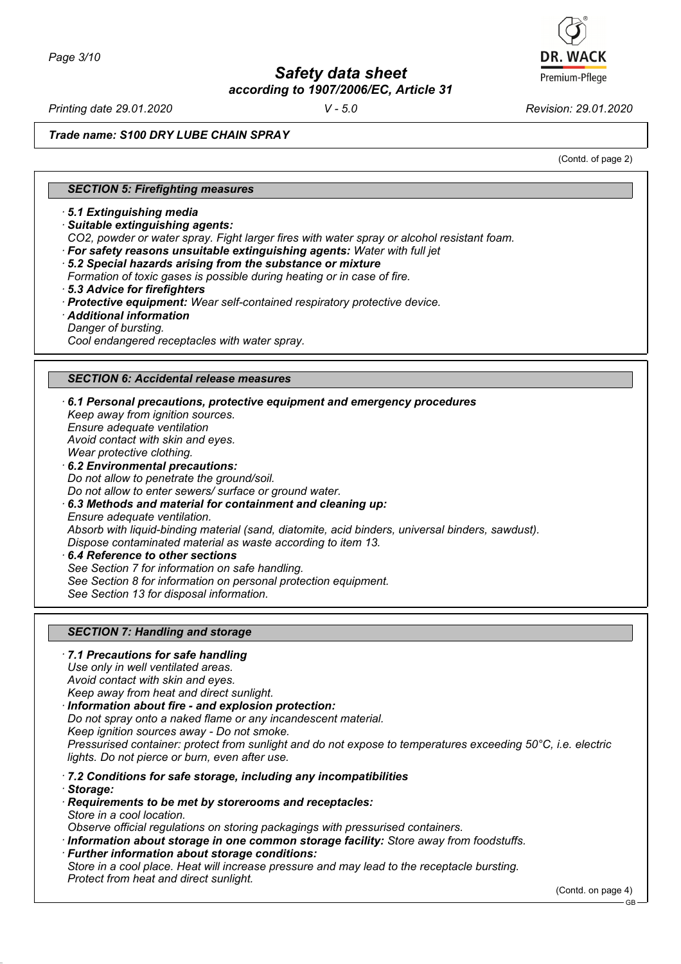*Printing date 29.01.2020 V - 5.0 Revision: 29.01.2020*

Premium-Pflege

*Trade name: S100 DRY LUBE CHAIN SPRAY*

(Contd. of page 2)

#### *SECTION 5: Firefighting measures*

*· 5.1 Extinguishing media*

- *· Suitable extinguishing agents:*
- *CO2, powder or water spray. Fight larger fires with water spray or alcohol resistant foam.*
- *· For safety reasons unsuitable extinguishing agents: Water with full jet*
- *· 5.2 Special hazards arising from the substance or mixture*
- *Formation of toxic gases is possible during heating or in case of fire.*
- *· 5.3 Advice for firefighters*
- *· Protective equipment: Wear self-contained respiratory protective device.*
- *· Additional information*
- *Danger of bursting.*

*Cool endangered receptacles with water spray.*

#### *SECTION 6: Accidental release measures*

*· 6.1 Personal precautions, protective equipment and emergency procedures Keep away from ignition sources. Ensure adequate ventilation Avoid contact with skin and eyes. Wear protective clothing. · 6.2 Environmental precautions: Do not allow to penetrate the ground/soil. Do not allow to enter sewers/ surface or ground water. · 6.3 Methods and material for containment and cleaning up: Ensure adequate ventilation. Absorb with liquid-binding material (sand, diatomite, acid binders, universal binders, sawdust). Dispose contaminated material as waste according to item 13. · 6.4 Reference to other sections*

*See Section 7 for information on safe handling. See Section 8 for information on personal protection equipment. See Section 13 for disposal information.*

#### *SECTION 7: Handling and storage*

- *· 7.1 Precautions for safe handling Use only in well ventilated areas. Avoid contact with skin and eyes. Keep away from heat and direct sunlight. · Information about fire - and explosion protection:*
- *Do not spray onto a naked flame or any incandescent material. Keep ignition sources away - Do not smoke. Pressurised container: protect from sunlight and do not expose to temperatures exceeding 50°C, i.e. electric lights. Do not pierce or burn, even after use.*
- *· 7.2 Conditions for safe storage, including any incompatibilities*
- *· Storage:*
- *· Requirements to be met by storerooms and receptacles: Store in a cool location.*
- *Observe official regulations on storing packagings with pressurised containers.*
- *· Information about storage in one common storage facility: Store away from foodstuffs.*
- *· Further information about storage conditions:*

*Store in a cool place. Heat will increase pressure and may lead to the receptacle bursting. Protect from heat and direct sunlight.*

GB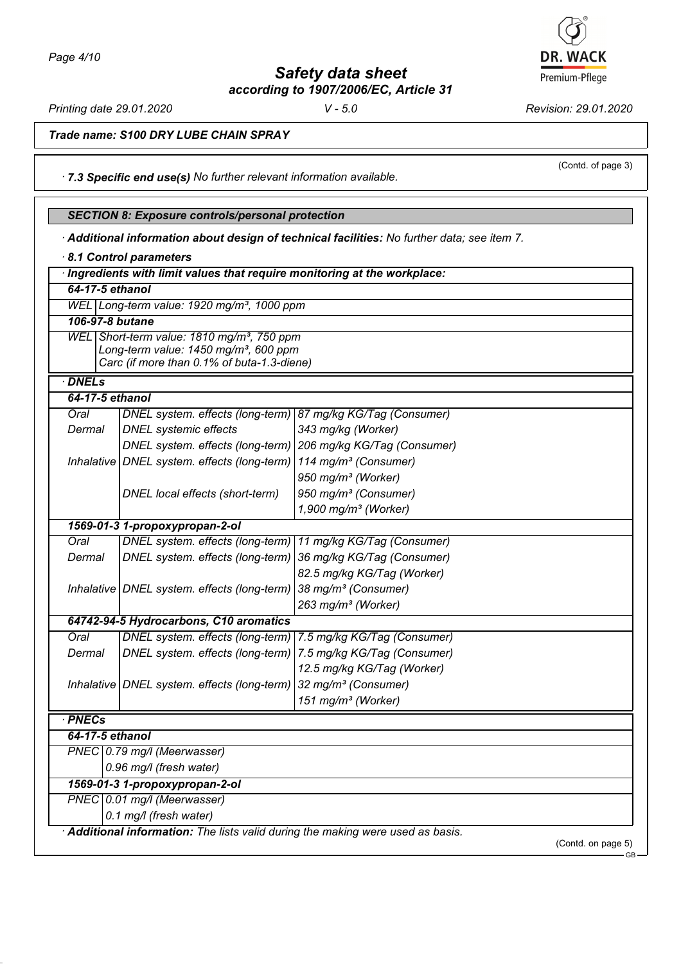*Printing date 29.01.2020 V - 5.0 Revision: 29.01.2020 Trade name: S100 DRY LUBE CHAIN SPRAY*

*· 7.3 Specific end use(s) No further relevant information available.*

# *SECTION 8: Exposure controls/personal protection*

*· Additional information about design of technical facilities: No further data; see item 7.*

| 64-17-5 ethanol |                                                               |                                  |  |
|-----------------|---------------------------------------------------------------|----------------------------------|--|
|                 | WEL Long-term value: 1920 mg/m <sup>3</sup> , 1000 ppm        |                                  |  |
| 106-97-8 butane |                                                               |                                  |  |
|                 | WEL Short-term value: 1810 mg/m <sup>3</sup> , 750 ppm        |                                  |  |
|                 | Long-term value: 1450 mg/m <sup>3</sup> , 600 ppm             |                                  |  |
|                 | Carc (if more than 0.1% of buta-1.3-diene)                    |                                  |  |
| <b>DNELs</b>    |                                                               |                                  |  |
| 64-17-5 ethanol |                                                               |                                  |  |
| Oral            | DNEL system. effects (long-term) 87 mg/kg KG/Tag (Consumer)   |                                  |  |
| Dermal          | <b>DNEL</b> systemic effects                                  | 343 mg/kg (Worker)               |  |
|                 | DNEL system. effects (long-term) 206 mg/kg KG/Tag (Consumer)  |                                  |  |
|                 | Inhalative   DNEL system. effects (long-term)                 | 114 mg/m <sup>3</sup> (Consumer) |  |
|                 |                                                               | 950 mg/m <sup>3</sup> (Worker)   |  |
|                 | DNEL local effects (short-term)                               | 950 mg/m <sup>3</sup> (Consumer) |  |
|                 |                                                               | 1,900 mg/m <sup>3</sup> (Worker) |  |
|                 | 1569-01-3 1-propoxypropan-2-ol                                |                                  |  |
| Oral            | DNEL system. effects (long-term)   11 mg/kg KG/Tag (Consumer) |                                  |  |
| Dermal          | DNEL system. effects (long-term)                              | 36 mg/kg KG/Tag (Consumer)       |  |
|                 |                                                               | 82.5 mg/kg KG/Tag (Worker)       |  |
|                 | Inhalative   DNEL system. effects (long-term)                 | 38 mg/m <sup>3</sup> (Consumer)  |  |
|                 |                                                               | 263 mg/m <sup>3</sup> (Worker)   |  |
|                 | 64742-94-5 Hydrocarbons, C10 aromatics                        |                                  |  |
| Oral            | DNEL system. effects (long-term) 7.5 mg/kg KG/Tag (Consumer)  |                                  |  |
| Dermal          | DNEL system. effects (long-term) 7.5 mg/kg KG/Tag (Consumer)  |                                  |  |
|                 |                                                               | 12.5 mg/kg KG/Tag (Worker)       |  |
|                 | Inhalative DNEL system. effects (long-term)                   | 32 mg/m <sup>3</sup> (Consumer)  |  |
|                 |                                                               | 151 mg/m <sup>3</sup> (Worker)   |  |
| · PNECs         |                                                               |                                  |  |
| 64-17-5 ethanol |                                                               |                                  |  |
|                 | PNEC 0.79 mg/l (Meerwasser)                                   |                                  |  |
|                 | 0.96 mg/l (fresh water)                                       |                                  |  |
|                 | 1569-01-3 1-propoxypropan-2-ol                                |                                  |  |
|                 | PNEC 0.01 mg/l (Meerwasser)                                   |                                  |  |
|                 | 0.1 mg/l (fresh water)                                        |                                  |  |



(Contd. of page 3)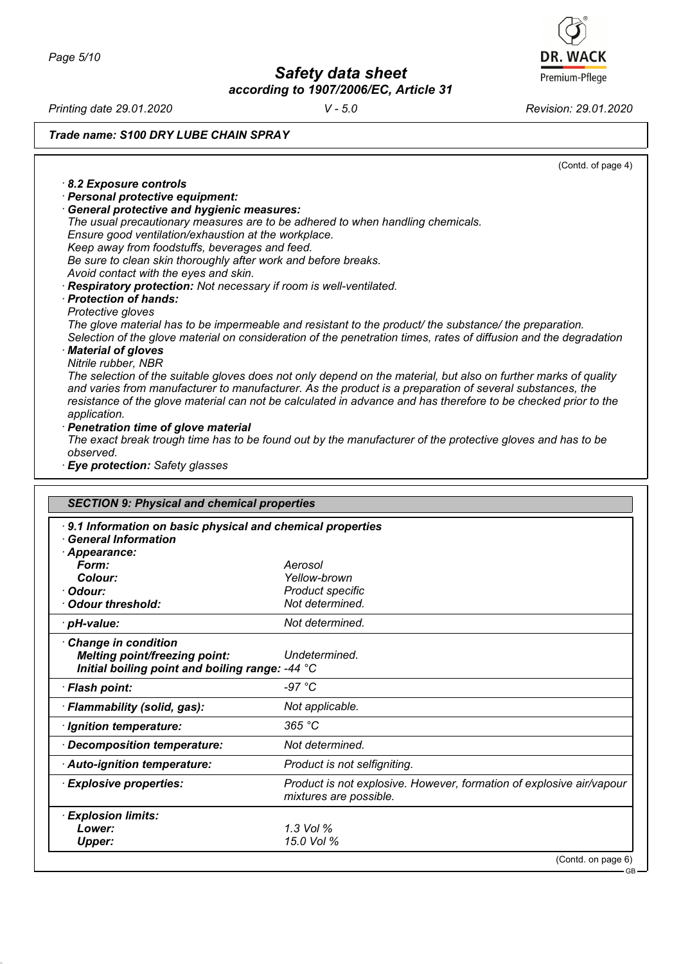*Page 5/10*

*Safety data sheet according to 1907/2006/EC, Article 31* **DR. WACK** Premium-Pflege

*Printing date 29.01.2020 V - 5.0 Revision: 29.01.2020*

*Trade name: S100 DRY LUBE CHAIN SPRAY*

|                                                      | (Contd. of page 4)                                                                                                |
|------------------------------------------------------|-------------------------------------------------------------------------------------------------------------------|
| 8.2 Exposure controls                                |                                                                                                                   |
| · Personal protective equipment:                     |                                                                                                                   |
| · General protective and hygienic measures:          |                                                                                                                   |
|                                                      | The usual precautionary measures are to be adhered to when handling chemicals.                                    |
| Ensure good ventilation/exhaustion at the workplace. |                                                                                                                   |
| Keep away from foodstuffs, beverages and feed.       |                                                                                                                   |
|                                                      | Be sure to clean skin thoroughly after work and before breaks.                                                    |
| Avoid contact with the eyes and skin.                |                                                                                                                   |
|                                                      | · Respiratory protection: Not necessary if room is well-ventilated.                                               |
| · Protection of hands:                               |                                                                                                                   |
| Protective gloves                                    |                                                                                                                   |
|                                                      | The glove material has to be impermeable and resistant to the product/ the substance/ the preparation.            |
|                                                      | Selection of the glove material on consideration of the penetration times, rates of diffusion and the degradation |
| · Material of gloves                                 |                                                                                                                   |
| Nitrile rubber, NBR                                  |                                                                                                                   |
|                                                      | The selection of the suitable gloves does not only depend on the material, but also on further marks of quality   |
|                                                      | and varies from manufacturer to manufacturer. As the product is a preparation of several substances, the          |
|                                                      | resistance of the glove material can not be calculated in advance and has therefore to be checked prior to the    |
| application.                                         |                                                                                                                   |
| · Penetration time of glove material                 |                                                                                                                   |
|                                                      | The exact break trough time has to be found out by the manufacturer of the protective gloves and has to be        |
| observed.                                            |                                                                                                                   |
| · Eye protection: Safety glasses                     |                                                                                                                   |
|                                                      |                                                                                                                   |
|                                                      |                                                                                                                   |
| <b>SECTION 9: Physical and chemical properties</b>   |                                                                                                                   |
|                                                      | 9.1 Information on basic physical and chemical properties                                                         |
| <b>General Information</b>                           |                                                                                                                   |
| · Appearance:                                        |                                                                                                                   |
| Form:                                                | Aerosol                                                                                                           |
| Colour:                                              | Yellow-brown                                                                                                      |

| Yellow-brown<br>Colour:<br><b>Product specific</b><br>· Odour:<br>Not determined.<br>Odour threshold:<br>Not determined.<br>· pH-value:<br><b>Change in condition</b> |
|-----------------------------------------------------------------------------------------------------------------------------------------------------------------------|
|                                                                                                                                                                       |
|                                                                                                                                                                       |
|                                                                                                                                                                       |
|                                                                                                                                                                       |
| <b>Melting point/freezing point:</b><br>Undetermined.                                                                                                                 |
| Initial boiling point and boiling range: -44 °C                                                                                                                       |
| -97 °C<br>· Flash point:                                                                                                                                              |
| · Flammability (solid, gas):<br>Not applicable.                                                                                                                       |
| 365 °C<br>· Ignition temperature:                                                                                                                                     |
| Not determined.<br>Decomposition temperature:                                                                                                                         |
| Product is not selfigniting.<br>Auto-ignition temperature:                                                                                                            |
| · Explosive properties:<br>Product is not explosive. However, formation of explosive air/vapour<br>mixtures are possible.                                             |
| · Explosion limits:                                                                                                                                                   |
| 1.3 Vol %<br>Lower:                                                                                                                                                   |
| 15.0 Vol %<br><b>Upper:</b>                                                                                                                                           |
| (Contd. on page 6)                                                                                                                                                    |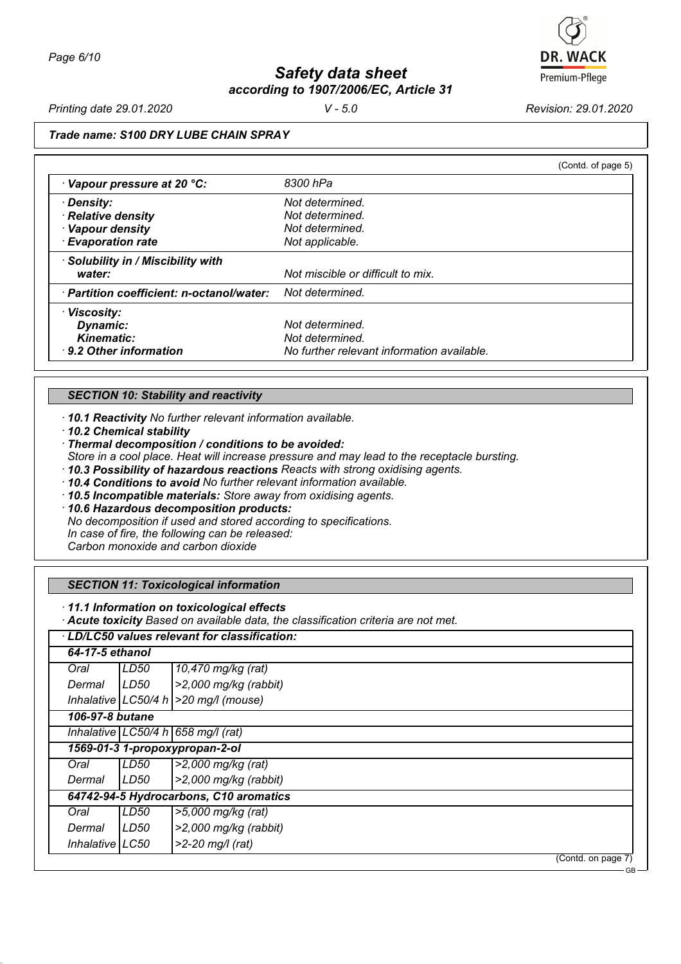

*Printing date 29.01.2020 V - 5.0 Revision: 29.01.2020*

# *Trade name: S100 DRY LUBE CHAIN SPRAY*

| (Contd. of page 5)                                           |  |
|--------------------------------------------------------------|--|
| 8300 hPa                                                     |  |
| Not determined.                                              |  |
| Not determined.                                              |  |
| Not determined.                                              |  |
| Not applicable.                                              |  |
|                                                              |  |
| Not miscible or difficult to mix.                            |  |
| · Partition coefficient: n-octanol/water:<br>Not determined. |  |
|                                                              |  |
| Not determined.                                              |  |
| Not determined.                                              |  |
| No further relevant information available.                   |  |
|                                                              |  |

## *SECTION 10: Stability and reactivity*

*· 10.1 Reactivity No further relevant information available.*

*· 10.2 Chemical stability*

*· Thermal decomposition / conditions to be avoided:*

*Store in a cool place. Heat will increase pressure and may lead to the receptacle bursting.*

- *· 10.3 Possibility of hazardous reactions Reacts with strong oxidising agents.*
- *· 10.4 Conditions to avoid No further relevant information available.*
- *· 10.5 Incompatible materials: Store away from oxidising agents.*

*· 10.6 Hazardous decomposition products:*

*No decomposition if used and stored according to specifications.*

*In case of fire, the following can be released:*

*Carbon monoxide and carbon dioxide*

## *SECTION 11: Toxicological information*

*· 11.1 Information on toxicological effects*

*· Acute toxicity Based on available data, the classification criteria are not met.*

| LD/LC50 values relevant for classification: |      |                                           |  |
|---------------------------------------------|------|-------------------------------------------|--|
| 64-17-5 ethanol                             |      |                                           |  |
| Oral                                        | LD50 | 10,470 mg/kg (rat)                        |  |
| Dermal                                      | LD50 | $\ge$ 2,000 mg/kg (rabbit)                |  |
|                                             |      | Inhalative $ LC50/4 h  > 20 mg/l$ (mouse) |  |
| 106-97-8 butane                             |      |                                           |  |
| Inhalative LC50/4 h $658$ mg/l (rat)        |      |                                           |  |
|                                             |      | 1569-01-3 1-propoxypropan-2-ol            |  |
| Oral                                        | LD50 | >2,000 mg/kg (rat)                        |  |
| Dermal                                      | LD50 | $\ge$ 2,000 mg/kg (rabbit)                |  |
|                                             |      | 64742-94-5 Hydrocarbons, C10 aromatics    |  |
| Oral                                        | LD50 | >5,000 mg/kg (rat)                        |  |
| Dermal                                      | LD50 | $>2,000$ mg/kg (rabbit)                   |  |
| Inhalative LC50                             |      | $>2-20$ mg/l (rat)                        |  |
|                                             |      | (Contd. on page 7)                        |  |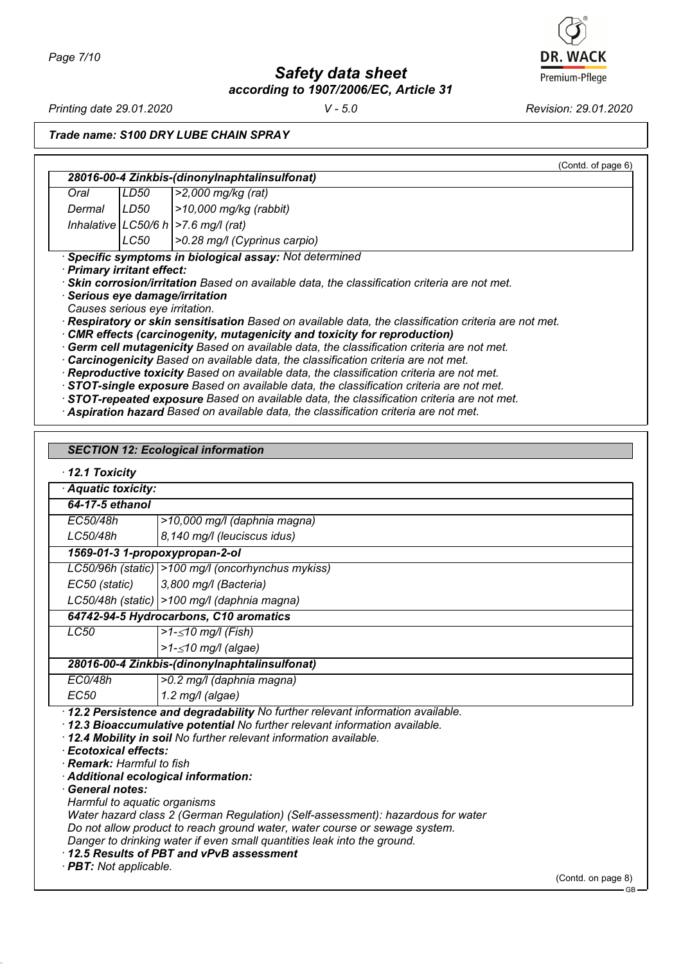*Page 7/10*

*Safety data sheet according to 1907/2006/EC, Article 31* **DR. WACK** Premium-Pflege

*Printing date 29.01.2020 V - 5.0 Revision: 29.01.2020*

*Trade name: S100 DRY LUBE CHAIN SPRAY*

|                                                                                              |      | (Contd. of page 6)                                                                                  |
|----------------------------------------------------------------------------------------------|------|-----------------------------------------------------------------------------------------------------|
|                                                                                              |      | 28016-00-4 Zinkbis-(dinonylnaphtalinsulfonat)                                                       |
| Oral                                                                                         | LD50 | $>2,000$ mg/kg (rat)                                                                                |
| Dermal                                                                                       | LD50 | $>10,000$ mg/kg (rabbit)                                                                            |
|                                                                                              |      | Inhalative $ LC50/6 h  > 7.6 mg/l$ (rat)                                                            |
|                                                                                              | LC50 | >0.28 mg/l (Cyprinus carpio)                                                                        |
|                                                                                              |      | · Specific symptoms in biological assay: Not determined                                             |
| · Primary irritant effect:                                                                   |      |                                                                                                     |
|                                                                                              |      | · Skin corrosion/irritation Based on available data, the classification criteria are not met.       |
|                                                                                              |      | · Serious eye damage/irritation                                                                     |
| Causes serious eye irritation.                                                               |      |                                                                                                     |
|                                                                                              |      | Respiratory or skin sensitisation Based on available data, the classification criteria are not met. |
|                                                                                              |      | · CMR effects (carcinogenity, mutagenicity and toxicity for reproduction)                           |
|                                                                                              |      | Germ cell mutagenicity Based on available data, the classification criteria are not met.            |
|                                                                                              |      | $\cdot$ Carcinogenicity Based on available data, the classification criteria are not met.           |
| <b>Depreductive textaily Decad on quailable data the eleccification exiteria are not mot</b> |      |                                                                                                     |

*· Reproductive toxicity Based on available data, the classification criteria are not met.*

*· STOT-single exposure Based on available data, the classification criteria are not met.*

- *· STOT-repeated exposure Based on available data, the classification criteria are not met.*
- *· Aspiration hazard Based on available data, the classification criteria are not met.*

|                                                                                                                                                                                 | <b>SECTION 12: Ecological information</b>                                                                                                                                                                                                                                                                                                                                                                                                                                                                                   |                    |  |  |
|---------------------------------------------------------------------------------------------------------------------------------------------------------------------------------|-----------------------------------------------------------------------------------------------------------------------------------------------------------------------------------------------------------------------------------------------------------------------------------------------------------------------------------------------------------------------------------------------------------------------------------------------------------------------------------------------------------------------------|--------------------|--|--|
| $\cdot$ 12.1 Toxicity                                                                                                                                                           |                                                                                                                                                                                                                                                                                                                                                                                                                                                                                                                             |                    |  |  |
| · Aquatic toxicity:                                                                                                                                                             |                                                                                                                                                                                                                                                                                                                                                                                                                                                                                                                             |                    |  |  |
| 64-17-5 ethanol                                                                                                                                                                 |                                                                                                                                                                                                                                                                                                                                                                                                                                                                                                                             |                    |  |  |
| EC50/48h                                                                                                                                                                        | >10,000 mg/l (daphnia magna)                                                                                                                                                                                                                                                                                                                                                                                                                                                                                                |                    |  |  |
| LC50/48h                                                                                                                                                                        | 8,140 mg/l (leuciscus idus)                                                                                                                                                                                                                                                                                                                                                                                                                                                                                                 |                    |  |  |
| 1569-01-3 1-propoxypropan-2-ol                                                                                                                                                  |                                                                                                                                                                                                                                                                                                                                                                                                                                                                                                                             |                    |  |  |
|                                                                                                                                                                                 | LC50/96h (static)   > 100 mg/l (oncorhynchus mykiss)                                                                                                                                                                                                                                                                                                                                                                                                                                                                        |                    |  |  |
| EC50 (static)                                                                                                                                                                   | 3,800 mg/l (Bacteria)                                                                                                                                                                                                                                                                                                                                                                                                                                                                                                       |                    |  |  |
|                                                                                                                                                                                 | LC50/48h (static)   > 100 mg/l (daphnia magna)                                                                                                                                                                                                                                                                                                                                                                                                                                                                              |                    |  |  |
|                                                                                                                                                                                 | 64742-94-5 Hydrocarbons, C10 aromatics                                                                                                                                                                                                                                                                                                                                                                                                                                                                                      |                    |  |  |
| LC50                                                                                                                                                                            | >1- $\leq$ 10 mg/l (Fish)                                                                                                                                                                                                                                                                                                                                                                                                                                                                                                   |                    |  |  |
|                                                                                                                                                                                 | $>1 - \leq 10$ mg/l (algae)                                                                                                                                                                                                                                                                                                                                                                                                                                                                                                 |                    |  |  |
|                                                                                                                                                                                 | 28016-00-4 Zinkbis-(dinonylnaphtalinsulfonat)                                                                                                                                                                                                                                                                                                                                                                                                                                                                               |                    |  |  |
| EC0/48h                                                                                                                                                                         | >0.2 mg/l (daphnia magna)                                                                                                                                                                                                                                                                                                                                                                                                                                                                                                   |                    |  |  |
| <b>EC50</b>                                                                                                                                                                     | $1.2$ mg/l (algae)                                                                                                                                                                                                                                                                                                                                                                                                                                                                                                          |                    |  |  |
| · Ecotoxical effects:<br>· Remark: Harmful to fish<br>· Additional ecological information:<br>· General notes:<br>Harmful to aquatic organisms<br>· <b>PBT:</b> Not applicable. | · 12.2 Persistence and degradability No further relevant information available.<br>· 12.3 Bioaccumulative potential No further relevant information available.<br>· 12.4 Mobility in soil No further relevant information available.<br>Water hazard class 2 (German Regulation) (Self-assessment): hazardous for water<br>Do not allow product to reach ground water, water course or sewage system.<br>Danger to drinking water if even small quantities leak into the ground.<br>12.5 Results of PBT and vPvB assessment |                    |  |  |
|                                                                                                                                                                                 |                                                                                                                                                                                                                                                                                                                                                                                                                                                                                                                             | (Contd. on page 8) |  |  |

GB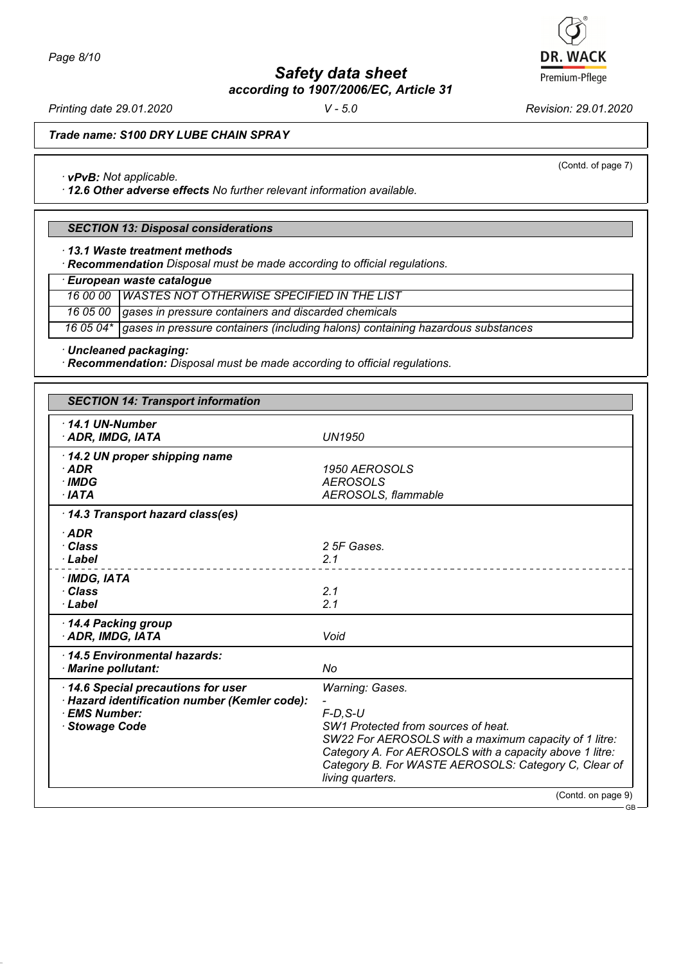*Page 8/10*

*Safety data sheet according to 1907/2006/EC, Article 31*

*Printing date 29.01.2020 V - 5.0 Revision: 29.01.2020*

*Trade name: S100 DRY LUBE CHAIN SPRAY*

*· vPvB: Not applicable.*

*· 12.6 Other adverse effects No further relevant information available.*

## *SECTION 13: Disposal considerations*

*· 13.1 Waste treatment methods*

*· Recommendation Disposal must be made according to official regulations.*

*· European waste catalogue*

*16 00 00 WASTES NOT OTHERWISE SPECIFIED IN THE LIST*

*16 05 00 gases in pressure containers and discarded chemicals*

*16 05 04\* gases in pressure containers (including halons) containing hazardous substances*

*· Uncleaned packaging:*

*· Recommendation: Disposal must be made according to official regulations.*

| <b>SECTION 14: Transport information</b>      |                                                                                                                 |  |  |
|-----------------------------------------------|-----------------------------------------------------------------------------------------------------------------|--|--|
| $\cdot$ 14.1 UN-Number                        |                                                                                                                 |  |  |
| · ADR, IMDG, IATA                             | <b>UN1950</b>                                                                                                   |  |  |
| 14.2 UN proper shipping name                  |                                                                                                                 |  |  |
| $\cdot$ ADR                                   | 1950 AEROSOLS                                                                                                   |  |  |
| · IMDG                                        | <b>AEROSOLS</b>                                                                                                 |  |  |
| $\cdot$ IATA                                  | AEROSOLS, flammable                                                                                             |  |  |
| 14.3 Transport hazard class(es)               |                                                                                                                 |  |  |
| $\cdot$ ADR                                   |                                                                                                                 |  |  |
| · Class                                       | 2 5F Gases.                                                                                                     |  |  |
| · Label                                       | 2.1                                                                                                             |  |  |
| $·$ IMDG, IATA                                |                                                                                                                 |  |  |
| · Class                                       | 2.1                                                                                                             |  |  |
| · Label                                       | 2.1                                                                                                             |  |  |
| 14.4 Packing group                            |                                                                                                                 |  |  |
| · ADR, IMDG, IATA                             | Void                                                                                                            |  |  |
| 14.5 Environmental hazards:                   |                                                                                                                 |  |  |
| · Marine pollutant:                           | No                                                                                                              |  |  |
| 14.6 Special precautions for user             | Warning: Gases.                                                                                                 |  |  |
| · Hazard identification number (Kemler code): |                                                                                                                 |  |  |
| · EMS Number:                                 | $F$ -D, S-U                                                                                                     |  |  |
| <b>Stowage Code</b>                           | SW1 Protected from sources of heat.                                                                             |  |  |
|                                               | SW22 For AEROSOLS with a maximum capacity of 1 litre:                                                           |  |  |
|                                               | Category A. For AEROSOLS with a capacity above 1 litre:<br>Category B. For WASTE AEROSOLS: Category C, Clear of |  |  |
|                                               | living quarters.                                                                                                |  |  |
|                                               | (Contd. on page 9)                                                                                              |  |  |



GB

(Contd. of page 7)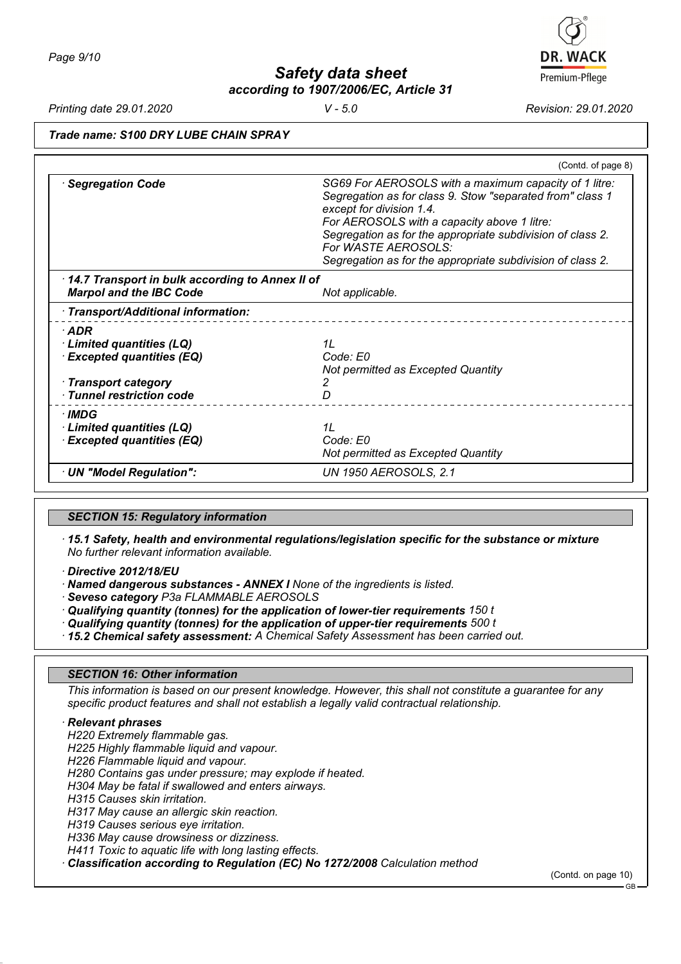*Printing date 29.01.2020 V - 5.0 Revision: 29.01.2020*

## *Trade name: S100 DRY LUBE CHAIN SPRAY*

|                                                                                   | (Contd. of page 8)                                                                                                                                                                                                                                                                                                                               |
|-----------------------------------------------------------------------------------|--------------------------------------------------------------------------------------------------------------------------------------------------------------------------------------------------------------------------------------------------------------------------------------------------------------------------------------------------|
| <b>Segregation Code</b>                                                           | SG69 For AEROSOLS with a maximum capacity of 1 litre:<br>Segregation as for class 9. Stow "separated from" class 1<br>except for division 1.4.<br>For AEROSOLS with a capacity above 1 litre:<br>Segregation as for the appropriate subdivision of class 2.<br>For WASTE AEROSOLS:<br>Segregation as for the appropriate subdivision of class 2. |
| 14.7 Transport in bulk according to Annex II of<br><b>Marpol and the IBC Code</b> | Not applicable.                                                                                                                                                                                                                                                                                                                                  |
| · Transport/Additional information:                                               |                                                                                                                                                                                                                                                                                                                                                  |
| $\cdot$ ADR                                                                       |                                                                                                                                                                                                                                                                                                                                                  |
| · Limited quantities (LQ)                                                         | 1L                                                                                                                                                                                                                                                                                                                                               |
| <b>Excepted quantities (EQ)</b>                                                   | Code: E0<br>Not permitted as Excepted Quantity                                                                                                                                                                                                                                                                                                   |
| · Transport category                                                              |                                                                                                                                                                                                                                                                                                                                                  |
| · Tunnel restriction code                                                         | D                                                                                                                                                                                                                                                                                                                                                |
| · IMDG                                                                            |                                                                                                                                                                                                                                                                                                                                                  |
| · Limited quantities (LQ)                                                         | 11                                                                                                                                                                                                                                                                                                                                               |
| <b>Excepted quantities (EQ)</b>                                                   | Code: E0<br>Not permitted as Excepted Quantity                                                                                                                                                                                                                                                                                                   |
| · UN "Model Regulation":                                                          | <b>UN 1950 AEROSOLS, 2.1</b>                                                                                                                                                                                                                                                                                                                     |

### *SECTION 15: Regulatory information*

*· 15.1 Safety, health and environmental regulations/legislation specific for the substance or mixture No further relevant information available.*

*· Directive 2012/18/EU*

*· Named dangerous substances - ANNEX I None of the ingredients is listed.*

*· Seveso category P3a FLAMMABLE AEROSOLS*

*· Qualifying quantity (tonnes) for the application of lower-tier requirements 150 t*

*· Qualifying quantity (tonnes) for the application of upper-tier requirements 500 t*

*· 15.2 Chemical safety assessment: A Chemical Safety Assessment has been carried out.*

#### *SECTION 16: Other information*

*This information is based on our present knowledge. However, this shall not constitute a guarantee for any specific product features and shall not establish a legally valid contractual relationship.*

### *· Relevant phrases*

*H220 Extremely flammable gas.*

*H225 Highly flammable liquid and vapour.*

*H226 Flammable liquid and vapour.*

*H280 Contains gas under pressure; may explode if heated.*

*H304 May be fatal if swallowed and enters airways.*

*H315 Causes skin irritation.*

*H317 May cause an allergic skin reaction.*

*H319 Causes serious eye irritation.*

*H336 May cause drowsiness or dizziness.*

*H411 Toxic to aquatic life with long lasting effects.*

*· Classification according to Regulation (EC) No 1272/2008 Calculation method*

(Contd. on page 10)